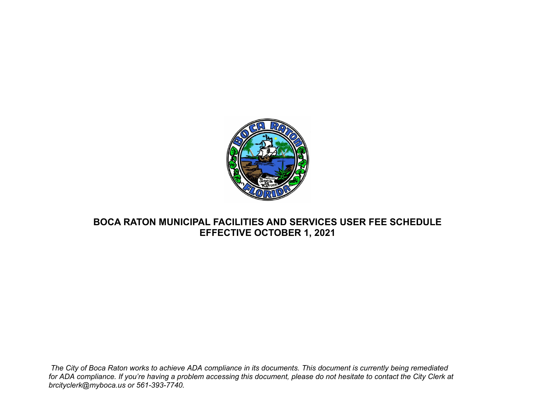

## **BOCA RATON MUNICIPAL FACILITIES AND SERVICES USER FEE SCHEDULE EFFECTIVE OCTOBER 1, 2021**

*The City of Boca Raton works to achieve ADA compliance in its documents. This document is currently being remediated for ADA compliance. If you're having a problem accessing this document, please do not hesitate to contact the City Clerk at brcityclerk@myboca.us or 561-393-7740.*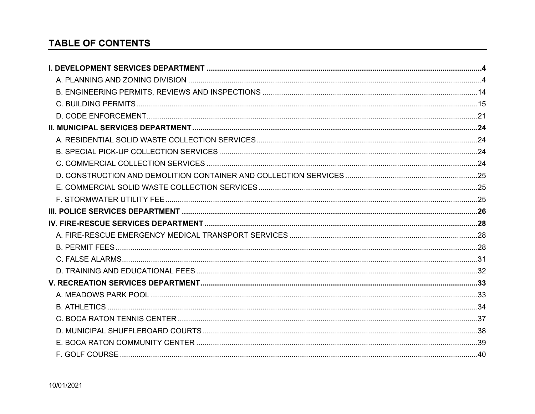# **TABLE OF CONTENTS**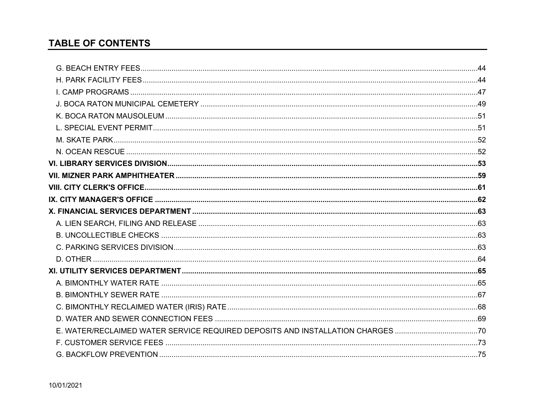# **TABLE OF CONTENTS**

| E. WATER/RECLAIMED WATER SERVICE REQUIRED DEPOSITS AND INSTALLATION CHARGES 70 |  |
|--------------------------------------------------------------------------------|--|
|                                                                                |  |
|                                                                                |  |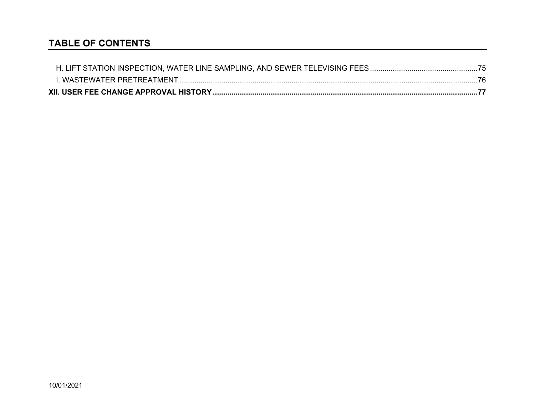## **TABLE OF CONTENTS**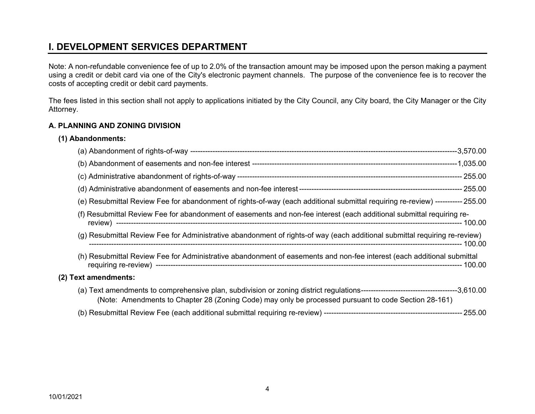## <span id="page-4-0"></span>**I. DEVELOPMENT SERVICES DEPARTMENT**

Note: A non-refundable convenience fee of up to 2.0% of the transaction amount may be imposed upon the person making a payment using a credit or debit card via one of the City's electronic payment channels. The purpose of the convenience fee is to recover the costs of accepting credit or debit card payments.

The fees listed in this section shall not apply to applications initiated by the City Council, any City board, the City Manager or the City Attorney.

#### <span id="page-4-1"></span>**A. PLANNING AND ZONING DIVISION**

#### **(1) Abandonments:**

|                      | (e) Resubmittal Review Fee for abandonment of rights-of-way (each additional submittal requiring re-review) ----------- 255.00 |  |
|----------------------|--------------------------------------------------------------------------------------------------------------------------------|--|
|                      | (f) Resubmittal Review Fee for abandonment of easements and non-fee interest (each additional submittal requiring re-          |  |
|                      | (g) Resubmittal Review Fee for Administrative abandonment of rights-of way (each additional submittal requiring re-review)     |  |
|                      | (h) Resubmittal Review Fee for Administrative abandonment of easements and non-fee interest (each additional submittal         |  |
| (2) Text amendments: |                                                                                                                                |  |
|                      | (Note: Amendments to Chapter 28 (Zoning Code) may only be processed pursuant to code Section 28-161)                           |  |
|                      |                                                                                                                                |  |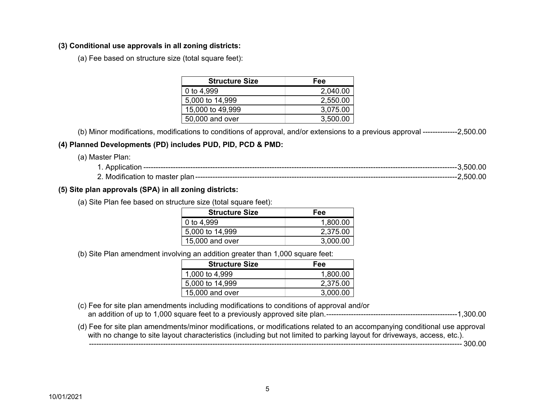### **(3) Conditional use approvals in all zoning districts:**

(a) Fee based on structure size (total square feet):

| <b>Structure Size</b> | Fee      |
|-----------------------|----------|
| 0 to 4,999            | 2,040.00 |
| 5,000 to 14,999       | 2,550.00 |
| 15,000 to 49,999      | 3,075.00 |
| 50,000 and over       | 3,500.00 |

(b) Minor modifications, modifications to conditions of approval, and/or extensions to a previous approval -------------- 2,500.00

## **(4) Planned Developments (PD) includes PUD, PID, PCD & PMD:**

(a) Master Plan:

| - | Application                        | .00<br>-500 |  |
|---|------------------------------------|-------------|--|
|   | 2. Modification to master<br>≅plan | 00<br>500   |  |

## **(5) Site plan approvals (SPA) in all zoning districts:**

(a) Site Plan fee based on structure size (total square feet):

| <b>Structure Size</b> | Fee      |
|-----------------------|----------|
| 0 to 4,999            | 1,800.00 |
| 5,000 to 14,999       | 2,375.00 |
| 15,000 and over       | 3,000.00 |

(b) Site Plan amendment involving an addition greater than 1,000 square feet:

| <b>Structure Size</b> | Fee      |
|-----------------------|----------|
| 1,000 to 4,999        | 1,800.00 |
| 5,000 to 14,999       | 2,375.00 |
| $15,000$ and over     | 3.000.00 |

- (c) Fee for site plan amendments including modifications to conditions of approval and/or an addition of up to 1,000 square feet to a previously approved site plan. ----------------------------------------------------- 1,300.00
- (d) Fee for site plan amendments/minor modifications, or modifications related to an accompanying conditional use approval with no change to site layout characteristics (including but not limited to parking layout for driveways, access, etc.). ------------------------------------------------------------------------------------------------------------------------------------------------------- 300.00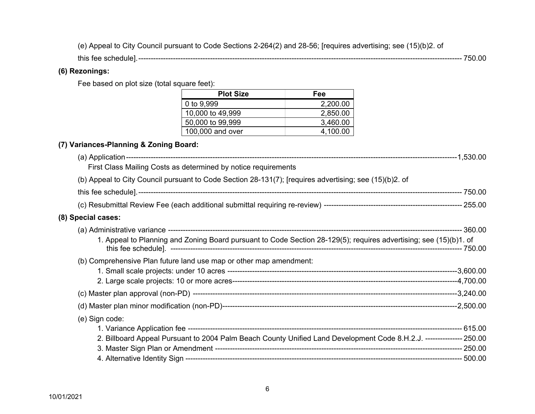(e) Appeal to City Council pursuant to Code Sections 2-264(2) and 28-56; [requires advertising; see (15)(b)2. of

this fee schedule]. ----------------------------------------------------------------------------------------------------------------------------------- 750.00

## **(6) Rezonings:**

Fee based on plot size (total square feet):

| <b>Plot Size</b> | Fee      |
|------------------|----------|
| 0 to 9,999       | 2,200.00 |
| 10,000 to 49,999 | 2,850.00 |
| 50,000 to 99,999 | 3,460.00 |
| 100,000 and over | 4,100.00 |

## **(7) Variances-Planning & Zoning Board:**

| First Class Mailing Costs as determined by notice requirements                                                      |  |
|---------------------------------------------------------------------------------------------------------------------|--|
| (b) Appeal to City Council pursuant to Code Section 28-131(7); [requires advertising; see (15)(b)2. of              |  |
|                                                                                                                     |  |
|                                                                                                                     |  |
| (8) Special cases:                                                                                                  |  |
|                                                                                                                     |  |
| 1. Appeal to Planning and Zoning Board pursuant to Code Section 28-129(5); requires advertising; see (15)(b)1. of   |  |
| (b) Comprehensive Plan future land use map or other map amendment:                                                  |  |
|                                                                                                                     |  |
|                                                                                                                     |  |
|                                                                                                                     |  |
|                                                                                                                     |  |
| (e) Sign code:                                                                                                      |  |
|                                                                                                                     |  |
| 2. Billboard Appeal Pursuant to 2004 Palm Beach County Unified Land Development Code 8.H.2.J. -------------- 250.00 |  |
|                                                                                                                     |  |
|                                                                                                                     |  |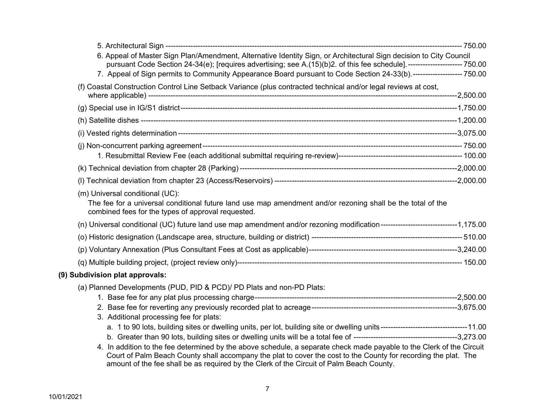| 6. Appeal of Master Sign Plan/Amendment, Alternative Identity Sign, or Architectural Sign decision to City Council<br>pursuant Code Section 24-34(e); [requires advertising; see A.(15)(b)2. of this fee schedule].-----------------------750.00                                                                                     |  |
|--------------------------------------------------------------------------------------------------------------------------------------------------------------------------------------------------------------------------------------------------------------------------------------------------------------------------------------|--|
| 7. Appeal of Sign permits to Community Appearance Board pursuant to Code Section 24-33(b).-------------------- 750.00                                                                                                                                                                                                                |  |
| (f) Coastal Construction Control Line Setback Variance (plus contracted technical and/or legal reviews at cost,                                                                                                                                                                                                                      |  |
|                                                                                                                                                                                                                                                                                                                                      |  |
|                                                                                                                                                                                                                                                                                                                                      |  |
|                                                                                                                                                                                                                                                                                                                                      |  |
|                                                                                                                                                                                                                                                                                                                                      |  |
|                                                                                                                                                                                                                                                                                                                                      |  |
|                                                                                                                                                                                                                                                                                                                                      |  |
| (m) Universal conditional (UC):<br>The fee for a universal conditional future land use map amendment and/or rezoning shall be the total of the<br>combined fees for the types of approval requested.                                                                                                                                 |  |
| (n) Universal conditional (UC) future land use map amendment and/or rezoning modification------------------------------1,175.00                                                                                                                                                                                                      |  |
|                                                                                                                                                                                                                                                                                                                                      |  |
|                                                                                                                                                                                                                                                                                                                                      |  |
|                                                                                                                                                                                                                                                                                                                                      |  |
| (9) Subdivision plat approvals:                                                                                                                                                                                                                                                                                                      |  |
| (a) Planned Developments (PUD, PID & PCD)/ PD Plats and non-PD Plats:                                                                                                                                                                                                                                                                |  |
|                                                                                                                                                                                                                                                                                                                                      |  |
|                                                                                                                                                                                                                                                                                                                                      |  |
| 3. Additional processing fee for plats:                                                                                                                                                                                                                                                                                              |  |
|                                                                                                                                                                                                                                                                                                                                      |  |
| 4. In addition to the fee determined by the above schedule, a separate check made payable to the Clerk of the Circuit<br>Court of Palm Beach County shall accompany the plat to cover the cost to the County for recording the plat. The<br>amount of the fee shall be as required by the Clerk of the Circuit of Palm Beach County. |  |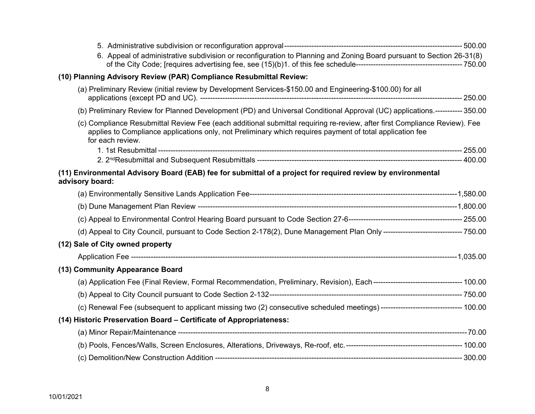| 6. Appeal of administrative subdivision or reconfiguration to Planning and Zoning Board pursuant to Section 26-31(8)                                                                                                                                      |  |
|-----------------------------------------------------------------------------------------------------------------------------------------------------------------------------------------------------------------------------------------------------------|--|
| (10) Planning Advisory Review (PAR) Compliance Resubmittal Review:                                                                                                                                                                                        |  |
| (a) Preliminary Review (initial review by Development Services-\$150.00 and Engineering-\$100.00) for all                                                                                                                                                 |  |
| (b) Preliminary Review for Planned Development (PD) and Universal Conditional Approval (UC) applications.----------- 350.00                                                                                                                               |  |
| (c) Compliance Resubmittal Review Fee (each additional submittal requiring re-review, after first Compliance Review). Fee<br>applies to Compliance applications only, not Preliminary which requires payment of total application fee<br>for each review. |  |
|                                                                                                                                                                                                                                                           |  |
|                                                                                                                                                                                                                                                           |  |
| (11) Environmental Advisory Board (EAB) fee for submittal of a project for required review by environmental<br>advisory board:                                                                                                                            |  |
|                                                                                                                                                                                                                                                           |  |
|                                                                                                                                                                                                                                                           |  |
|                                                                                                                                                                                                                                                           |  |
| (d) Appeal to City Council, pursuant to Code Section 2-178(2), Dune Management Plan Only -------------------------------- 750.00                                                                                                                          |  |
| (12) Sale of City owned property                                                                                                                                                                                                                          |  |
|                                                                                                                                                                                                                                                           |  |
| (13) Community Appearance Board                                                                                                                                                                                                                           |  |
|                                                                                                                                                                                                                                                           |  |
|                                                                                                                                                                                                                                                           |  |
|                                                                                                                                                                                                                                                           |  |
| (14) Historic Preservation Board - Certificate of Appropriateness:                                                                                                                                                                                        |  |
|                                                                                                                                                                                                                                                           |  |
|                                                                                                                                                                                                                                                           |  |
|                                                                                                                                                                                                                                                           |  |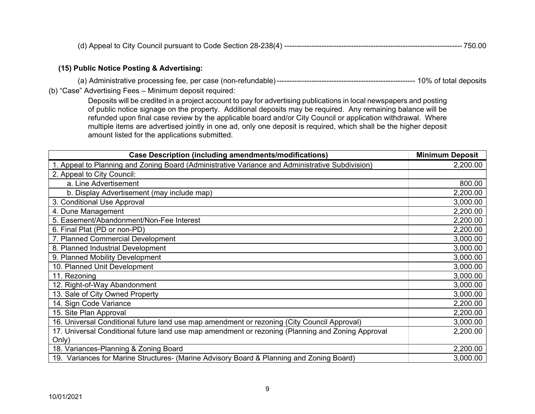(d) Appeal to City Council pursuant to Code Section 28-238(4) ------------------------------------------------------------------------ 750.00

#### **(15) Public Notice Posting & Advertising:**

(a) Administrative processing fee, per case (non-refundable) -------------------------------------------------------- 10% of total deposits (b) "Case" Advertising Fees – Minimum deposit required:

Deposits will be credited in a project account to pay for advertising publications in local newspapers and posting of public notice signage on the property. Additional deposits may be required. Any remaining balance will be refunded upon final case review by the applicable board and/or City Council or application withdrawal. Where multiple items are advertised jointly in one ad, only one deposit is required, which shall be the higher deposit amount listed for the applications submitted.

| <b>Case Description (including amendments/modifications)</b>                                      | <b>Minimum Deposit</b> |
|---------------------------------------------------------------------------------------------------|------------------------|
| 1. Appeal to Planning and Zoning Board (Administrative Variance and Administrative Subdivision)   | 2,200.00               |
| 2. Appeal to City Council:                                                                        |                        |
| a. Line Advertisement                                                                             | 800.00                 |
| b. Display Advertisement (may include map)                                                        | 2,200.00               |
| 3. Conditional Use Approval                                                                       | 3,000.00               |
| 4. Dune Management                                                                                | 2,200.00               |
| 5. Easement/Abandonment/Non-Fee Interest                                                          | 2,200.00               |
| 6. Final Plat (PD or non-PD)                                                                      | 2,200.00               |
| 7. Planned Commercial Development                                                                 | 3,000.00               |
| 8. Planned Industrial Development                                                                 | 3,000.00               |
| 9. Planned Mobility Development                                                                   | 3,000.00               |
| 10. Planned Unit Development                                                                      | 3,000.00               |
| 11. Rezoning                                                                                      | 3,000.00               |
| 12. Right-of-Way Abandonment                                                                      | 3,000.00               |
| 13. Sale of City Owned Property                                                                   | 3,000.00               |
| 14. Sign Code Variance                                                                            | 2,200.00               |
| 15. Site Plan Approval                                                                            | 2,200.00               |
| 16. Universal Conditional future land use map amendment or rezoning (City Council Approval)       | 3,000.00               |
| 17. Universal Conditional future land use map amendment or rezoning (Planning and Zoning Approval | 2,200.00               |
| Only)                                                                                             |                        |
| 18. Variances-Planning & Zoning Board                                                             | 2,200.00               |
| 19. Variances for Marine Structures- (Marine Advisory Board & Planning and Zoning Board)          | 3,000.00               |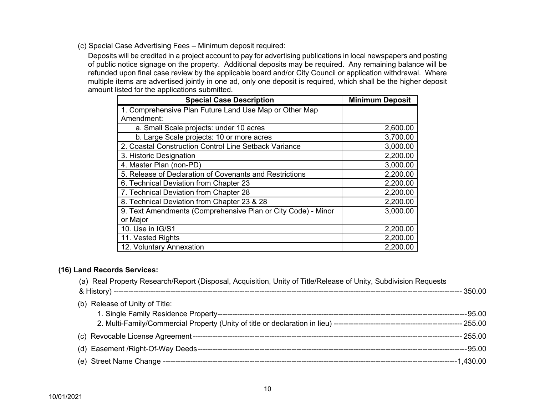(c) Special Case Advertising Fees – Minimum deposit required:

Deposits will be credited in a project account to pay for advertising publications in local newspapers and posting of public notice signage on the property. Additional deposits may be required. Any remaining balance will be refunded upon final case review by the applicable board and/or City Council or application withdrawal. Where multiple items are advertised jointly in one ad, only one deposit is required, which shall be the higher deposit amount listed for the applications submitted.

| <b>Special Case Description</b>                              | <b>Minimum Deposit</b> |
|--------------------------------------------------------------|------------------------|
| 1. Comprehensive Plan Future Land Use Map or Other Map       |                        |
| Amendment:                                                   |                        |
| a. Small Scale projects: under 10 acres                      | 2,600.00               |
| b. Large Scale projects: 10 or more acres                    | 3,700.00               |
| 2. Coastal Construction Control Line Setback Variance        | 3,000.00               |
| 3. Historic Designation                                      | 2,200.00               |
| 4. Master Plan (non-PD)                                      | 3,000.00               |
| 5. Release of Declaration of Covenants and Restrictions      | 2,200.00               |
| 6. Technical Deviation from Chapter 23                       | 2,200.00               |
| 7. Technical Deviation from Chapter 28                       | 2,200.00               |
| 8. Technical Deviation from Chapter 23 & 28                  | 2,200.00               |
| 9. Text Amendments (Comprehensive Plan or City Code) - Minor | 3,000.00               |
| or Major                                                     |                        |
| 10. Use in IG/S1                                             | 2,200.00               |
| 11. Vested Rights                                            | 2,200.00               |
| 12. Voluntary Annexation                                     | 2,200.00               |

#### **(16) Land Records Services:**

(a) Real Property Research/Report (Disposal, Acquisition, Unity of Title/Release of Unity, Subdivision Requests

|                                | - 350 00     |
|--------------------------------|--------------|
| (b) Release of Unity of Title: |              |
|                                | --95.00      |
|                                |              |
|                                | $-255.00$    |
|                                | -------95.00 |
|                                |              |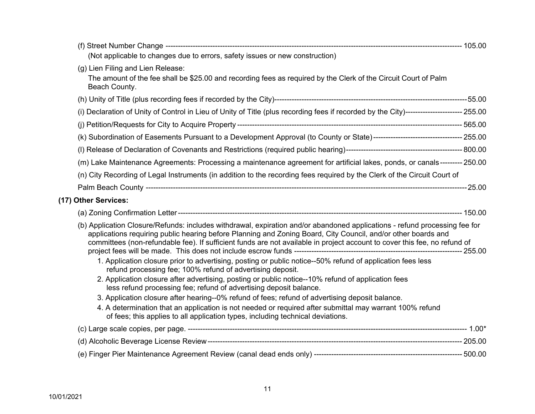| (Not applicable to changes due to errors, safety issues or new construction)                                                                                                                                                                                                                                                                                                                                                                                                                                                                                                                                                                               |  |
|------------------------------------------------------------------------------------------------------------------------------------------------------------------------------------------------------------------------------------------------------------------------------------------------------------------------------------------------------------------------------------------------------------------------------------------------------------------------------------------------------------------------------------------------------------------------------------------------------------------------------------------------------------|--|
| (g) Lien Filing and Lien Release:<br>The amount of the fee shall be \$25.00 and recording fees as required by the Clerk of the Circuit Court of Palm<br>Beach County.                                                                                                                                                                                                                                                                                                                                                                                                                                                                                      |  |
|                                                                                                                                                                                                                                                                                                                                                                                                                                                                                                                                                                                                                                                            |  |
| (i) Declaration of Unity of Control in Lieu of Unity of Title (plus recording fees if recorded by the City)----------------------- 255.00                                                                                                                                                                                                                                                                                                                                                                                                                                                                                                                  |  |
|                                                                                                                                                                                                                                                                                                                                                                                                                                                                                                                                                                                                                                                            |  |
|                                                                                                                                                                                                                                                                                                                                                                                                                                                                                                                                                                                                                                                            |  |
|                                                                                                                                                                                                                                                                                                                                                                                                                                                                                                                                                                                                                                                            |  |
| (m) Lake Maintenance Agreements: Processing a maintenance agreement for artificial lakes, ponds, or canals--------- 250.00                                                                                                                                                                                                                                                                                                                                                                                                                                                                                                                                 |  |
| (n) City Recording of Legal Instruments (in addition to the recording fees required by the Clerk of the Circuit Court of                                                                                                                                                                                                                                                                                                                                                                                                                                                                                                                                   |  |
|                                                                                                                                                                                                                                                                                                                                                                                                                                                                                                                                                                                                                                                            |  |
| (17) Other Services:                                                                                                                                                                                                                                                                                                                                                                                                                                                                                                                                                                                                                                       |  |
|                                                                                                                                                                                                                                                                                                                                                                                                                                                                                                                                                                                                                                                            |  |
| (b) Application Closure/Refunds: includes withdrawal, expiration and/or abandoned applications - refund processing fee for<br>applications requiring public hearing before Planning and Zoning Board, City Council, and/or other boards and<br>committees (non-refundable fee). If sufficient funds are not available in project account to cover this fee, no refund of<br>1. Application closure prior to advertising, posting or public notice--50% refund of application fees less<br>refund processing fee; 100% refund of advertising deposit.<br>2. Application closure after advertising, posting or public notice--10% refund of application fees |  |
| less refund processing fee; refund of advertising deposit balance.                                                                                                                                                                                                                                                                                                                                                                                                                                                                                                                                                                                         |  |
| 3. Application closure after hearing--0% refund of fees; refund of advertising deposit balance.                                                                                                                                                                                                                                                                                                                                                                                                                                                                                                                                                            |  |
| 4. A determination that an application is not needed or required after submittal may warrant 100% refund<br>of fees; this applies to all application types, including technical deviations.                                                                                                                                                                                                                                                                                                                                                                                                                                                                |  |
|                                                                                                                                                                                                                                                                                                                                                                                                                                                                                                                                                                                                                                                            |  |
|                                                                                                                                                                                                                                                                                                                                                                                                                                                                                                                                                                                                                                                            |  |
|                                                                                                                                                                                                                                                                                                                                                                                                                                                                                                                                                                                                                                                            |  |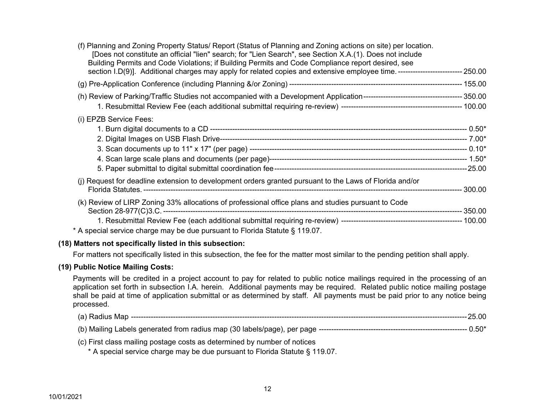| (f) Planning and Zoning Property Status/ Report (Status of Planning and Zoning actions on site) per location.<br>[Does not constitute an official "lien" search; for "Lien Search", see Section X.A.(1). Does not include<br>Building Permits and Code Violations; if Building Permits and Code Compliance report desired, see<br>section I.D(9)]. Additional charges may apply for related copies and extensive employee time. --------------------------- 250.00 |  |
|--------------------------------------------------------------------------------------------------------------------------------------------------------------------------------------------------------------------------------------------------------------------------------------------------------------------------------------------------------------------------------------------------------------------------------------------------------------------|--|
|                                                                                                                                                                                                                                                                                                                                                                                                                                                                    |  |
|                                                                                                                                                                                                                                                                                                                                                                                                                                                                    |  |
| (i) EPZB Service Fees:                                                                                                                                                                                                                                                                                                                                                                                                                                             |  |
| (j) Request for deadline extension to development orders granted pursuant to the Laws of Florida and/or                                                                                                                                                                                                                                                                                                                                                            |  |
| (k) Review of LIRP Zoning 33% allocations of professional office plans and studies pursuant to Code<br>* A special service charge may be due pursuant to Florida Statute § 119.07.                                                                                                                                                                                                                                                                                 |  |
|                                                                                                                                                                                                                                                                                                                                                                                                                                                                    |  |

## **(18) Matters not specifically listed in this subsection:**

For matters not specifically listed in this subsection, the fee for the matter most similar to the pending petition shall apply.

#### **(19) Public Notice Mailing Costs:**

Payments will be credited in a project account to pay for related to public notice mailings required in the processing of an application set forth in subsection I.A. herein. Additional payments may be required. Related public notice mailing postage shall be paid at time of application submittal or as determined by staff. All payments must be paid prior to any notice being processed.

| Map<br>(a)<br>adius. | .00 |
|----------------------|-----|
|----------------------|-----|

(b) Mailing Labels generated from radius map (30 labels/page), per page ------------------------------------------------------------ 0.50\*

(c) First class mailing postage costs as determined by number of notices

\* A special service charge may be due pursuant to Florida Statute § 119.07.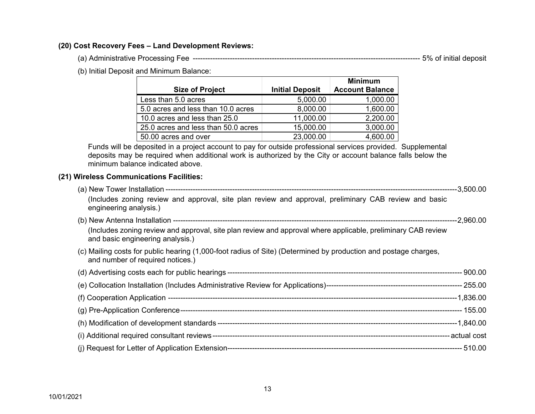#### **(20) Cost Recovery Fees – Land Development Reviews:**

(a) Administrative Processing Fee -------------------------------------------------------------------------------------------- 5% of initial deposit

(b) Initial Deposit and Minimum Balance:

|                                     |                        | <b>Minimum</b>         |
|-------------------------------------|------------------------|------------------------|
| <b>Size of Project</b>              | <b>Initial Deposit</b> | <b>Account Balance</b> |
| Less than 5.0 acres                 | 5,000.00               | 1,000.00               |
| 5.0 acres and less than 10.0 acres  | 8,000.00               | 1,600.00               |
| 10.0 acres and less than 25.0       | 11,000.00              | 2,200.00               |
| 25.0 acres and less than 50.0 acres | 15,000.00              | 3,000.00               |
| 50.00 acres and over                | 23,000.00              | 4,600.00               |

Funds will be deposited in a project account to pay for outside professional services provided. Supplemental deposits may be required when additional work is authorized by the City or account balance falls below the minimum balance indicated above.

### **(21) Wireless Communications Facilities:**

| (Includes zoning review and approval, site plan review and approval, preliminary CAB review and basic<br>engineering analysis.)                     |  |
|-----------------------------------------------------------------------------------------------------------------------------------------------------|--|
|                                                                                                                                                     |  |
| (Includes zoning review and approval, site plan review and approval where applicable, preliminary CAB review<br>and basic engineering analysis.)    |  |
| (c) Mailing costs for public hearing (1,000-foot radius of Site) (Determined by production and postage charges,<br>and number of required notices.) |  |
|                                                                                                                                                     |  |
|                                                                                                                                                     |  |
|                                                                                                                                                     |  |
|                                                                                                                                                     |  |
|                                                                                                                                                     |  |
|                                                                                                                                                     |  |
|                                                                                                                                                     |  |